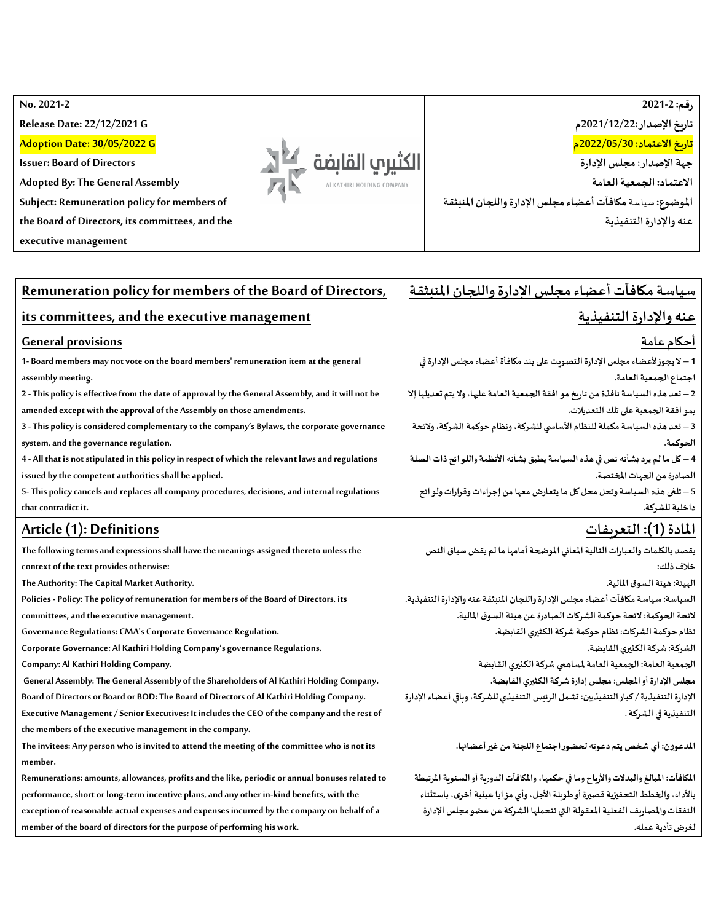**No. 2021 -2**

**Release Date: 22/12/2021 G**

**Adoption Date: 30/05/2022 G**

**Issuer: Board of Directors**

**Adopted By: The General Assembly**

**Subject: Remuneration policy for members of** 

**the Board of Directors, its committees, and the** 

**executive management**



**رقم: 2021-2 تاريخ اإلصدار2021/12/22:م تاريخ االعتماد: 2022/05/30م جهةاإلصدار:مجلس اإلدارة االعتماد: الجمعية العامة املوضوع:** سياسة**مكافآتأعضاءمجلس اإلدارةواللجان املنبثقة عنهواإلدارةالتنفيذية**

| Remuneration policy for members of the Board of Directors,                                          | سياسة مكافآت أعضاء مجلس الإدارة واللجان المنبثقة                                        |  |  |
|-----------------------------------------------------------------------------------------------------|-----------------------------------------------------------------------------------------|--|--|
| its committees, and the executive management                                                        | عنه والإدارة التنفيذية                                                                  |  |  |
| <b>General provisions</b>                                                                           | <u>أحكام عامة</u>                                                                       |  |  |
| 1- Board members may not vote on the board members' remuneration item at the general                | 1 – لا يجوز لأعضاء مجلس الإدارة النصوىت على بند مكافأة أعضاء مجلس الإدارة في            |  |  |
| assembly meeting.                                                                                   | اجتماع الجمعية العامة.                                                                  |  |  |
| 2 - This policy is effective from the date of approval by the General Assembly, and it will not be  | 2 – تعد هذه السياسة نافذة من تاريخ مو افقة الجمعية العامة عليها، ولا يتم تعديلها إلا    |  |  |
| amended except with the approval of the Assembly on those amendments.                               | بمو افقة الجمعية على تلك التعديلات.                                                     |  |  |
| 3 - This policy is considered complementary to the company's Bylaws, the corporate governance       | 3 – تعد هذه السياسة مكملة للنظام الأساسي للشركة، ونظام حوكمة الشركة، ولائحة             |  |  |
| system, and the governance regulation.                                                              | الحوكمة.                                                                                |  |  |
| 4 - All that is not stipulated in this policy in respect of which the relevant laws and regulations | 4 – كل ما لم يرد بشأنه نص في هذه السياسة يطبق بشأنه الأنظمة واللو ائح ذات الصلة         |  |  |
| issued by the competent authorities shall be applied.                                               | الصادرة من الجهات المختصة.                                                              |  |  |
| 5- This policy cancels and replaces all company procedures, decisions, and internal regulations     | 5 – تلغى هذه السياسة وتحل محل كل ما يتعارض معها من إجراءات وقرارات ولو ائح              |  |  |
| that contradict it.                                                                                 | داخلية للشركة.                                                                          |  |  |
| Article (1): Definitions                                                                            | الماد <u>ة (1): التعريفات</u>                                                           |  |  |
| The following terms and expressions shall have the meanings assigned thereto unless the             | بقصد بالكلمات والعبارات التالية المعاني الموضحة أمامها ما لم يقض سياق النص              |  |  |
| context of the text provides otherwise:                                                             | خلاف ذلك:                                                                               |  |  |
| The Authority: The Capital Market Authority.                                                        | البيئة: هيئة السوق المالية.                                                             |  |  |
| Policies - Policy: The policy of remuneration for members of the Board of Directors, its            | السياسة: سياسة مكافآت أعضاء مجلس الإدارة واللجان المنبثقة عنه والإدارة التنفيذية.       |  |  |
| committees, and the executive management.                                                           | لائحة الحوكمة: لائحة حوكمة الشركات الصادرة عن هيئة السوق المالية.                       |  |  |
| Governance Regulations: CMA's Corporate Governance Regulation.                                      | نظام حوكمة الشركات: نظام حوكمة شركة الكثيرى القابضة.                                    |  |  |
| Corporate Governance: Al Kathiri Holding Company's governance Regulations.                          | الشركة: شركة الكثيري القابضة.                                                           |  |  |
| Company: Al Kathiri Holding Company.                                                                | الجمعية العامة: الجمعية العامة لمساهمي شركة الكثيري القابضة                             |  |  |
| General Assembly: The General Assembly of the Shareholders of Al Kathiri Holding Company.           | مجلس الإدارة أو المجلس: مجلس إدارة شركة الكثيرى القابضة.                                |  |  |
| Board of Directors or Board or BOD: The Board of Directors of Al Kathiri Holding Company.           | الإدارة التنفيذية / كبار التنفيذيين: تشمل الرئيس التنفيذي للشركة، وباقي أعضاء الإدارة   |  |  |
| Executive Management / Senior Executives: It includes the CEO of the company and the rest of        | التنفيذية في الشركة .                                                                   |  |  |
| the members of the executive management in the company.                                             |                                                                                         |  |  |
| The invitees: Any person who is invited to attend the meeting of the committee who is not its       | لمدعوون: أي شخص يتم دعوته لحضور اجتماع اللجنة من غير أعضائها.                           |  |  |
| member.                                                                                             |                                                                                         |  |  |
| Remunerations: amounts, allowances, profits and the like, periodic or annual bonuses related to     | المكافآت: المبالغ والبدلات والأرباح وما في حكمها، والمكافآت الدوربة أو السنوبة المرتبطة |  |  |
| performance, short or long-term incentive plans, and any other in-kind benefits, with the           | بالأداء، والخطط التحفيزية قصيرة أو طوبلة الأجل، وأي مز ايا عينية أخرى، باستثناء         |  |  |
| exception of reasonable actual expenses and expenses incurred by the company on behalf of a         | النفقات والمصاريف الفعلية المعقولة التي تتحملها الشركة عن عضو مجلس الإدارة              |  |  |
| member of the board of directors for the purpose of performing his work.                            | لغرض تأدية عمله.                                                                        |  |  |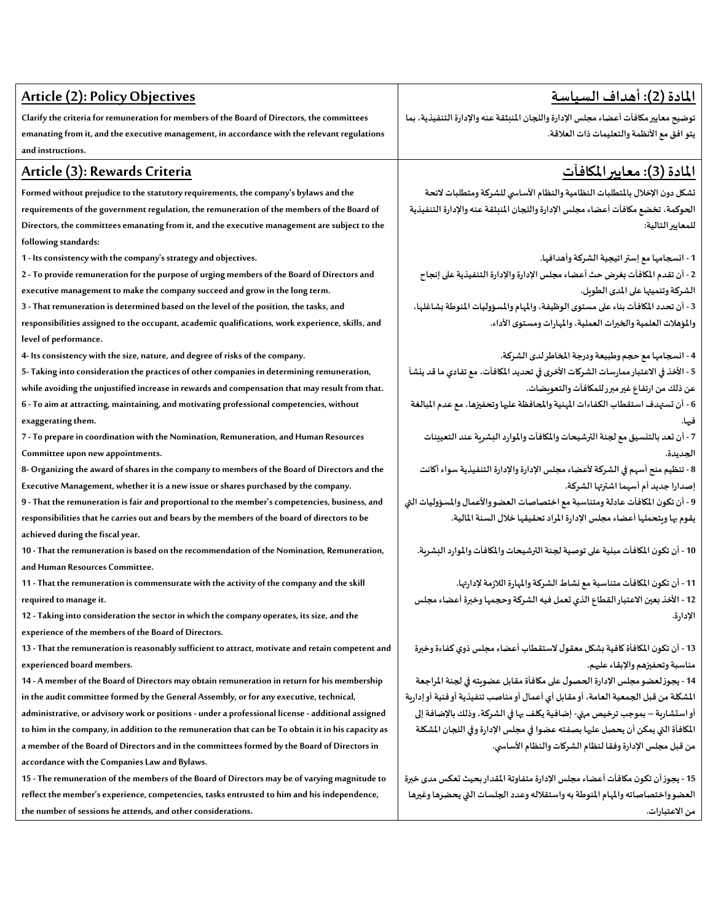| <b>Article (2): Policy Objectives</b>                                                              | <u>المادة (2): أهداف السياسة</u>                                                    |  |
|----------------------------------------------------------------------------------------------------|-------------------------------------------------------------------------------------|--|
| Clarify the criteria for remuneration for members of the Board of Directors, the committees        | توضيح معايير مكافآت أعضاء مجلس الإدارة واللجان المنبثقة عنه والإدارة التنفيذية، بما |  |
| emanating from it, and the executive management, in accordance with the relevant regulations       | يتو افق مع الأنظمة والتعليمات ذات العلاقة.                                          |  |
| and instructions.                                                                                  |                                                                                     |  |
| Article (3): Rewards Criteria                                                                      | <u>المادة (3): معايير المكافآت</u>                                                  |  |
| Formed without prejudice to the statutory requirements, the company's bylaws and the               | تشكل دون الإخلال بالمتطلبات النظامية والنظام الأسامى للشركة ومتطلبات لائحة          |  |
| requirements of the government regulation, the remuneration of the members of the Board of         | الحوكمة، تخضع مكافآت أعضاء مجلس الإدارة واللجان المنبثقة عنه والإدارة التنفيذية     |  |
| Directors, the committees emanating from it, and the executive management are subject to the       | للمعايير التالية:                                                                   |  |
| following standards:                                                                               |                                                                                     |  |
| 1 - Its consistency with the company's strategy and objectives.                                    | 1 - انسجامها مع إستر اتيجية الشركة وأهدافها.                                        |  |
| 2 - To provide remuneration for the purpose of urging members of the Board of Directors and        | 2 - أن تقدم المكافآت بغرض حث أعضاء مجلس الإدارة والإدارة التنفيذية على إنجاح        |  |
| executive management to make the company succeed and grow in the long term.                        | الشركة وتنميتها على المدى الطويل.                                                   |  |
| 3 - That remuneration is determined based on the level of the position, the tasks, and             | 3 - أن تحدد المكافآت بناء على مستوى الوظيفة، والمهام والمسؤوليات المنوطة بشاغلها،   |  |
| responsibilities assigned to the occupant, academic qualifications, work experience, skills, and   | والمؤهلات العلمية والخبرات العملية، والمهارات ومستوى الأداء.                        |  |
| level of performance.                                                                              |                                                                                     |  |
| 4- Its consistency with the size, nature, and degree of risks of the company.                      | 4 - انسجامها مع حجم وطبيعة ودرجة المخاطر لدى الشركة.                                |  |
| 5- Taking into consideration the practices of other companies in determining remuneration,         | 5 - الأخذ في الاعتبار ممارسات الشركات الأخرى في تحديد المكافآت، مع تفادي ما قد ينشأ |  |
| while avoiding the unjustified increase in rewards and compensation that may result from that.     | عن ذلك من ارتفاع غير مبرر للمكافآت والتعويضات.                                      |  |
| 6 - To aim at attracting, maintaining, and motivating professional competencies, without           | 6 - أن تستهدف استقطاب الكفاءات المهنية والمحافظة عليها وتحفيزها، مع عدم المبالغة    |  |
| exaggerating them.                                                                                 |                                                                                     |  |
| 7 - To prepare in coordination with the Nomination, Remuneration, and Human Resources              | 7 - أن تعد بالتنسيق مع لجنة الترشيحات والمكافآت والموارد البشربة عند التعيينات      |  |
| Committee upon new appointments.                                                                   | الجديدة.                                                                            |  |
| 8- Organizing the award of shares in the company to members of the Board of Directors and the      | 8 - تنظيم منح أسهم في الشركة لأعضاء مجلس الإدارة والإدارة التنفيذية سواء أكانت      |  |
| Executive Management, whether it is a new issue or shares purchased by the company.                | إصدارا جديد أم أسهما اشترتها الشركة.                                                |  |
| 9 - That the remuneration is fair and proportional to the member's competencies, business, and     | 9 - أن تكون المكافآت عادلة ومتناسبة مع اختصاصات العضو والأعمال والمسؤوليات التي     |  |
| responsibilities that he carries out and bears by the members of the board of directors to be      | يقوم بها وبتحملها أعضاء مجلس الإدارة المراد تحقيقها خلال السنة المالية.             |  |
| achieved during the fiscal year.                                                                   |                                                                                     |  |
| 10 - That the remuneration is based on the recommendation of the Nomination, Remuneration,         | 10 - أن تكون المكافآت مبنية على توصية لجنة الترشيحات والمكافآت والموارد البشربة.    |  |
| and Human Resources Committee.                                                                     |                                                                                     |  |
| 11 - That the remuneration is commensurate with the activity of the company and the skill          | 11 - أن تكون المكافآت متناسبة مع نشاط الشركة والمهارة اللازمة لإدارتها.             |  |
| required to manage it.                                                                             | 12 - الأخذ بعين الاعتبار القطاع الذي تعمل فيه الشركة وحجمها وخبرة أعضاء مجلس        |  |
| 12 - Taking into consideration the sector in which the company operates, its size, and the         | الإدارة.                                                                            |  |
| experience of the members of the Board of Directors.                                               |                                                                                     |  |
| 13 - That the remuneration is reasonably sufficient to attract, motivate and retain competent and  | 13 - أن تكون المكافأة كافية بشكل معقول لاستقطاب أعضاء مجلس ذوي كفاءة وخبرة          |  |
| experienced board members.                                                                         | مناسبة وتحفيزهم والإبقاء عليهم.                                                     |  |
| 14 - A member of the Board of Directors may obtain remuneration in return for his membership       | 14 - يجوز لعضو مجلس الإدارة الحصول على مكافأة مقابل عضويته في لجنة المراجعة         |  |
| in the audit committee formed by the General Assembly, or for any executive, technical,            | المشكلة من قبل الجمعية العامة، أو مقابل أي أعمال أو مناصب تنفيذية أو فنية أو إداربة |  |
| administrative, or advisory work or positions - under a professional license - additional assigned | أو استشارِية – بموجب ترخيص مهي- إضافية يكلف بها في الشركة، وذلك بالإضافة إلى        |  |
| to him in the company, in addition to the remuneration that can be To obtain it in his capacity as | المكافأة التي يمكن أن يحصل عليها بصفته عضوا في مجلس الإدارة وفي اللجان المشكلة      |  |
| a member of the Board of Directors and in the committees formed by the Board of Directors in       | من قبل مجلس الإدارة وفقا لنظام الشركات والنظام الأساسي.                             |  |
| accordance with the Companies Law and Bylaws.                                                      |                                                                                     |  |
| 15 - The remuneration of the members of the Board of Directors may be of varying magnitude to      | 15 - يجوز أن تكون مكافآت أعضاء مجلس الإدارة متفاوتة المقدار بحيث تعكس مدى خبرة      |  |
| reflect the member's experience, competencies, tasks entrusted to him and his independence,        | العضو واختصاصاته والمهام المنوطة به واستفلاله وعدد الجلسات التى يحضرها وغيرها       |  |
| the number of sessions he attends, and other considerations.                                       | من الاعتبارات.                                                                      |  |
|                                                                                                    |                                                                                     |  |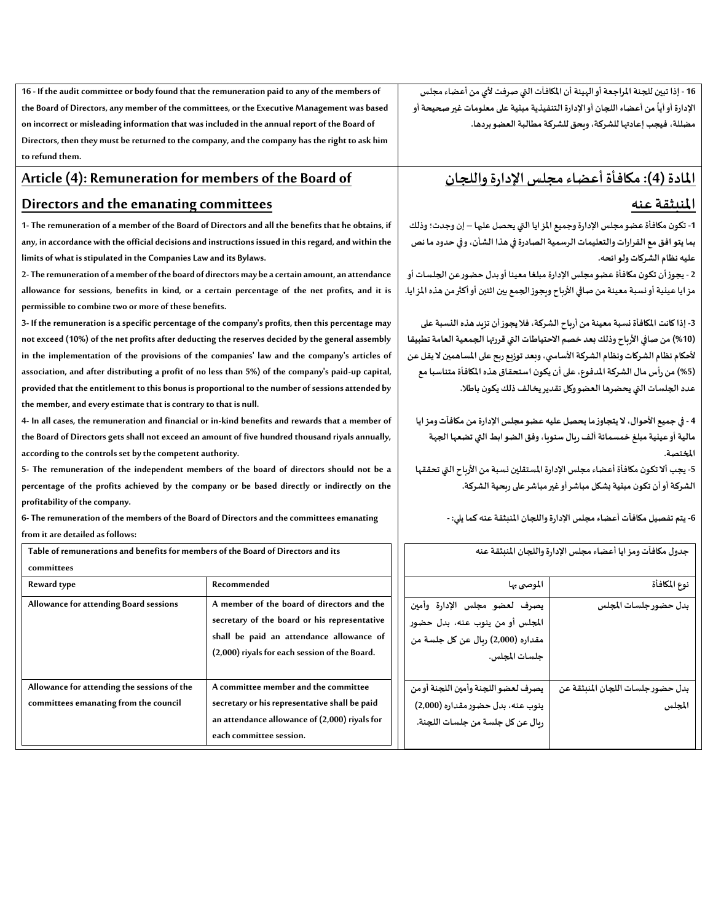**16 - If the audit committee or body found that the remuneration paid to any of the members of the Board of Directors, any member of the committees, or the Executive Management was based on incorrect or misleading information that was included in the annual report of the Board of Directors, then they must be returned to the company, and the company has the right to ask him to refund them.**

### **Article (4): Remuneration for members of the Board of**

#### **Directors and the emanating committees**

**1- The remuneration of a member of the Board of Directors and all the benefits that he obtains, if any, in accordance with the official decisions and instructions issued in this regard, and within the limits of what is stipulated in the Companies Law and its Bylaws.**

**2- The remuneration of a member of the board of directors may be a certain amount, an attendance allowance for sessions, benefits in kind, or a certain percentage of the net profits, and it is permissible to combine two or more of these benefits.**

**3- If the remuneration is a specific percentage of the company's profits, then this percentage may not exceed (10%) of the net profits after deducting the reserves decided by the general assembly in the implementation of the provisions of the companies' law and the company's articles of association, and after distributing a profit of no less than 5%) of the company's paid-up capital, provided that the entitlement to this bonus is proportional to the number of sessions attended by the member, and every estimate that is contrary to that is null.**

**4- In all cases, the remuneration and financial or in-kind benefits and rewards that a member of the Board of Directors gets shall not exceed an amount of five hundred thousand riyals annually, according to the controls set by the competent authority.**

**5- The remuneration of the independent members of the board of directors should not be a percentage of the profits achieved by the company or be based directly or indirectly on the profitability of the company.**

**6- The remuneration of the members of the Board of Directors and the committees emanating from it are detailed as follows:**

| Table of remunerations and benefits for members of the Board of Directors and its<br>committees |                                                                                                                                                                                         |  |
|-------------------------------------------------------------------------------------------------|-----------------------------------------------------------------------------------------------------------------------------------------------------------------------------------------|--|
| Reward type                                                                                     | Recommended                                                                                                                                                                             |  |
| Allowance for attending Board sessions                                                          | A member of the board of directors and the<br>secretary of the board or his representative<br>shall be paid an attendance allowance of<br>(2,000) riyals for each session of the Board. |  |
| Allowance for attending the sessions of the<br>committees emanating from the council            | A committee member and the committee<br>secretary or his representative shall be paid<br>an attendance allowance of (2,000) riyals for<br>each committee session.                       |  |

**16 - إذا تبين للجنة املراجعة أو الهيئة أن املكافآت التي صرفت ألي من أعضاء مجلس**  الإدارة أو أياً من أعضاء اللجان أو الإدارة التنفيذية مبنية على معلومات غير صحيحة أو **ً مضللة،فيجب إعادتها للشركة، ويحق للشركة مطالبة العضو بردها.**

## **املادة )4(:مكافأةأعضاءمجلس اإلدارةواللجان**

#### **املنبثقة عنه**

**-1 تكون مكافأة عضومجلس اإلدارةوجميع املزايا التي يحصل عليها – إن وجدت؛ وذلك بما يتو افق مع القراراتوالتعليمات الرسميةالصادرة في هذا الشأن،وفي حدودما نص عليه نظام الشركات ولوائحه.** 

**2 - يجوزأن تكون مكافأة عضومجلس اإلدارةمبلغامعينا أوبدل حضورعن الجلساتأو مزايا عينيةأونسبةمعينةمنصافياألرباح ويجوزالجمع بين اثنين أو أكثر من هذه املزايا.** 

**-3 إذاكانتاملكافأة نسبةمعينةمن أرباح الشركة،فاليجوزأن تزيد هذهالنسبة على )%10(منصافياألرباح وذلكبعد خصم االحتياطات التيقررتها الجمعيةالعامةتطبيقا ألحكام نظام الشركاتونظام الشركةاألساس ي،وبعد توزيع ربح علىاملساهمين ال يقل عن )%5(من رأسمال الشركةاملدفوع، علىأن يكون استحقاق هذهاملكافأةمتناسبامع عددالجلسات التي يحضرها العضووكل تقديريخالف ذلكيكون باطال.**

**4 - في جميع األحوال، اليتجاوزما يحصل عليه عضومجلس اإلدارةمن مكافآتومزايا مالية أو عينية مبلغ خمسمائةألف ريال سنويا،وفق الضوابط التي تضعها الجهة املختصة.**

5- يجب ألا تكون مكافأة أعضاء مجلس الإدارة المستقلين نسبة من الأرباح التي تحققها **الشركةأوأن تكون مبنيةبشكل مباشرأوغيرمباشرعلىربحيةالشركة.**

**-6 يتم تفصيل مكافآت أعضاءمجلس اإلدارةواللجان املنبثقة عنه كما يلي: -**

| جدول مكافآت ومز ايا أعضاء مجلس الإدارة واللجان المنبثقة عنه                                                           |                                             |  |  |
|-----------------------------------------------------------------------------------------------------------------------|---------------------------------------------|--|--|
| الموصى بها                                                                                                            | نوع المكافأة                                |  |  |
| يصرف لعضو مجلس الإدارة وأمين<br>المجلس أو من ينوب عنه، بدل حضور<br>مقداره (2,000) ريال عن كل جلسة من<br>جلسات المجلس. | بدل حضور جلسات المجلس                       |  |  |
| يصرف لعضو اللجنة وأمين اللجنة أو من<br>ينوب عنه، بدل حضور مقداره (2,000)<br>ربال عن كل جلسة من جلسات اللجنة.          | بدل حضور جلسات اللجان المنبثقة عن<br>المجلس |  |  |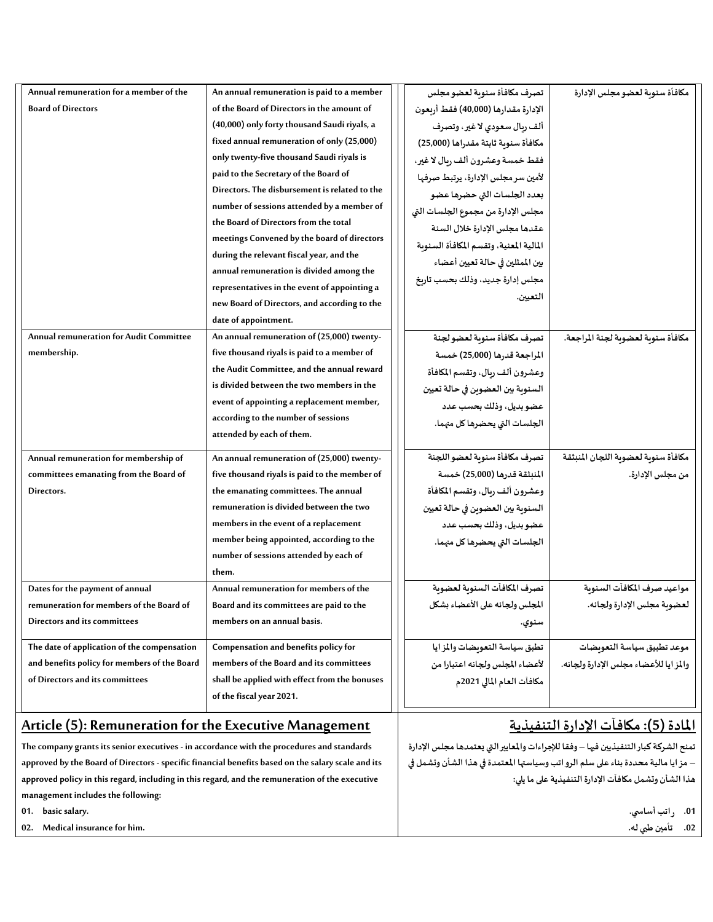| Annual remuneration for a member of the      | An annual remuneration is paid to a member    | تصرف مكافأة سنوبة لعضو مجلس             | مكافأة سنوبة لعضو مجلس الإدارة         |
|----------------------------------------------|-----------------------------------------------|-----------------------------------------|----------------------------------------|
| <b>Board of Directors</b>                    | of the Board of Directors in the amount of    | الإدارة مقدارها (40,000) فقط أربعون     |                                        |
|                                              | (40,000) only forty thousand Saudi riyals, a  | ألف ربال سعودي لاغير، وتصرف             |                                        |
|                                              | fixed annual remuneration of only (25,000)    | مكافأة سنوية ثابتة مقدراها (25,000)     |                                        |
|                                              | only twenty-five thousand Saudi riyals is     | فقط خمسة وعشرون ألف ربال لاغير،         |                                        |
|                                              | paid to the Secretary of the Board of         | لأمين سر مجلس الإدارة، يرتبط صرفها      |                                        |
|                                              | Directors. The disbursement is related to the | بعدد الجلسات التي حضرها عضو             |                                        |
|                                              | number of sessions attended by a member of    | مجلس الإدارة من مجموع الجلسات التي      |                                        |
|                                              | the Board of Directors from the total         | عقدها مجلس الإدارة خلال السنة           |                                        |
|                                              | meetings Convened by the board of directors   | المالية المعنية، وتقسم المكافأة السنوبة |                                        |
|                                              | during the relevant fiscal year, and the      | بين الممثلين في حالة تعيين أعضاء        |                                        |
|                                              | annual remuneration is divided among the      | مجلس إدارة جديد، وذلك بحسب تاريخ        |                                        |
|                                              | representatives in the event of appointing a  | التعيين.                                |                                        |
|                                              | new Board of Directors, and according to the  |                                         |                                        |
|                                              | date of appointment.                          |                                         |                                        |
| Annual remuneration for Audit Committee      | An annual remuneration of (25,000) twenty-    | تصرف مكافأة سنوبة لعضو لجنة             | مكافأة سنوية لعضوية لجنة المراجعة.     |
| membership.                                  | five thousand riyals is paid to a member of   | المراجعة قدرها (25,000) خمسة            |                                        |
|                                              | the Audit Committee, and the annual reward    | وعشرون ألف ربال، وتقسم المكافأة         |                                        |
|                                              | is divided between the two members in the     | السنوية بين العضوين في حالة تعيين       |                                        |
|                                              | event of appointing a replacement member,     | عضو بديل، وذلك بحسب عدد                 |                                        |
|                                              | according to the number of sessions           | الجلسات التي يحضرها كل منهما.           |                                        |
|                                              | attended by each of them.                     |                                         |                                        |
| Annual remuneration for membership of        | An annual remuneration of (25,000) twenty-    | تصرف مكافأة سنوبة لعضو اللجنة           | مكافأة سنوبة لعضوبة اللجان المنبثقة    |
| committees emanating from the Board of       | five thousand riyals is paid to the member of | المنبثقة قدرها (25,000) خمسة            | من مجلس الإدارة.                       |
| Directors.                                   | the emanating committees. The annual          | وعشرون ألف ربال، وتقسم المكافأة         |                                        |
|                                              | remuneration is divided between the two       | السنوية بين العضوين في حالة تعيين       |                                        |
|                                              | members in the event of a replacement         | عضو بديل، وذلك بحسب عدد                 |                                        |
|                                              | member being appointed, according to the      | الجلسات التي يحضرها كل منهما.           |                                        |
|                                              | number of sessions attended by each of        |                                         |                                        |
|                                              | them.                                         |                                         |                                        |
| Dates for the payment of annual              | Annual remuneration for members of the        | تصرف المكافآت السنوبة لعضوبة            | مواعيد صرف المكافآت السنوبة            |
| remuneration for members of the Board of     | Board and its committees are paid to the      | المجلس ولجانه على الأعضاء بشكل          | لعضوية مجلس الإدارة ولجانه.            |
| Directors and its committees                 | members on an annual basis.                   | سنوي.                                   |                                        |
| The date of application of the compensation  | Compensation and benefits policy for          | تطبق سياسة التعويضات والمز ايا          | موعد تطبيق سياسة التعويضات             |
| and benefits policy for members of the Board | members of the Board and its committees       | لأعضاء المجلس ولجانه اعتبارا من         | والمز ايا للأعضاء مجلس الإدارة ولجانه. |
| of Directors and its committees              | shall be applied with effect from the bonuses | مكافآت العام المالي 2021م               |                                        |
|                                              | of the fiscal year 2021.                      |                                         |                                        |
|                                              |                                               |                                         |                                        |

# **املادة )5(:مكافآتاإلدارةالتنفيذية**

تمنح الشركة كبار التنفيذيين فيها – وفقا للإجراءات والمعايير التي يعتمدها مجلس الإدارة **– مزايا مالية محددة بناء على سلم الرواتب وسياستها املعتمدة في هذا الشأن وتشمل في هذا الشأن وتشمل مكافآت اإلدارةالتنفيذية علىما يلي:**

> **.01 راتبأساس ي. .02 تأمين طبي له.**

## **Article (5): Remuneration for the Executive Management**

**The company grants its senior executives - in accordance with the procedures and standards approved by the Board of Directors - specific financial benefits based on the salary scale and its approved policy in this regard, including in this regard, and the remuneration of the executive management includes the following:**

**01. basic salary.**

**02. Medical insurance for him.**